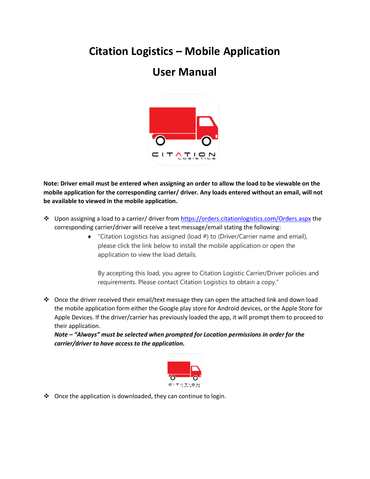## **Citation Logistics – Mobile Application**

## **User Manual**



**Note: Driver email must be entered when assigning an order to allow the load to be viewable on the mobile application for the corresponding carrier/ driver. Any loads entered without an email, will not be available to viewed in the mobile application.**

- ❖ Upon assigning a load to a carrier/ driver from<https://orders.citationlogistics.com/Orders.aspx> the corresponding carrier/driver will receive a text message/email stating the following:
	- "Citation Logistics has assigned (load #) to (Driver/Carrier name and email), please click the link below to install the mobile application or open the application to view the load details.

By accepting this load, you agree to Citation Logistic Carrier/Driver policies and requirements. Please contact Citation Logistics to obtain a copy."

❖ Once the driver received their email/text message they can open the attached link and down load the mobile application form either the Google play store for Android devices, or the Apple Store for Apple Devices. If the driver/carrier has previously loaded the app, it will prompt them to proceed to their application.

*Note – "Always" must be selected when prompted for Location permissions in order for the carrier/driver to have access to the application.* 



❖ Once the application is downloaded, they can continue to login.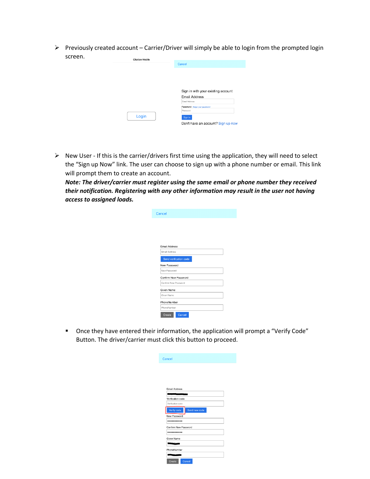➢ Previously created account – Carrier/Driver will simply be able to login from the prompted login screen. Citation Mobile

| Citation Mobile | Cancel                                                                                                                                                                     |
|-----------------|----------------------------------------------------------------------------------------------------------------------------------------------------------------------------|
| Login           | Sign in with your existing account<br><b>Email Address</b><br>Email Address<br>Password Forgot your password?<br>Password<br>Sign in<br>Don't have an account? Sign up now |

➢ New User - If this is the carrier/drivers first time using the application, they will need to select the "Sign up Now" link. The user can choose to sign up with a phone number or email. This link will prompt them to create an account.

*Note: The driver/carrier must register using the same email or phone number they received their notification. Registering with any other information may result in the user not having access to assigned loads.*

| Cancel                 |  |
|------------------------|--|
|                        |  |
|                        |  |
|                        |  |
|                        |  |
| <b>Email Address</b>   |  |
| Email Address          |  |
| Send verification code |  |
| New Password           |  |
| New Password           |  |
| Confirm New Password   |  |
| Confirm New Password   |  |
| Given Name             |  |
| Given Name             |  |
| PhoneNumber            |  |
| PhoneNumber            |  |
|                        |  |
| Cancel<br>Create       |  |

■ Once they have entered their information, the application will prompt a "Verify Code" Button. The driver/carrier must click this button to proceed.

| Cancel                       |
|------------------------------|
|                              |
|                              |
|                              |
| Email Address                |
|                              |
| Verification code            |
| Verification code            |
| Verify code<br>Send new code |
| New Password                 |
|                              |
| Confirm New Password         |
|                              |
| Given Name                   |
| <b>The Class</b>             |
| PhoneNumber                  |
|                              |
| Create<br>Cancel             |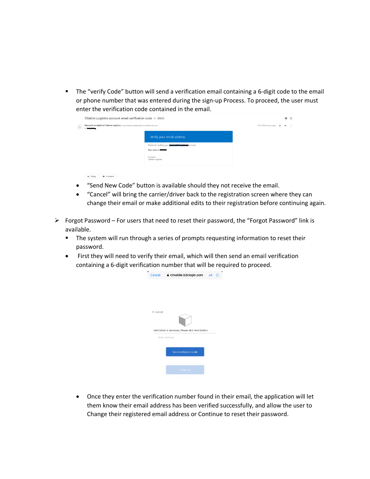**■** The "verify Code" button will send a verification email containing a 6-digit code to the email or phone number that was entered during the sign-up Process. To proceed, the user must enter the verification code contained in the email.

|             | Citation Logistics account email verification code $\sum$ Inbox x                                                                                       |                                                                                                  |  |  |  | 乙 |
|-------------|---------------------------------------------------------------------------------------------------------------------------------------------------------|--------------------------------------------------------------------------------------------------|--|--|--|---|
| $\triangle$ | Microsoft on behalf of Citation Logistics <msonlineservicesteam@microsoftonline.com><br/>to <b>Committee</b></msonlineservicesteam@microsoftonline.com> | 12:31 PM (3 hours ago) ☆ ←                                                                       |  |  |  |   |
|             |                                                                                                                                                         | Verify your email address                                                                        |  |  |  |   |
|             |                                                                                                                                                         | Thanks for verifying your <b>Continues Committee and</b> account!<br>Your code is: <b>BENDER</b> |  |  |  |   |
|             |                                                                                                                                                         | Sincerely.<br>Citation Logistics                                                                 |  |  |  |   |
|             | <b>B</b> Forward<br><br>keply                                                                                                                           |                                                                                                  |  |  |  |   |

- "Send New Code" button is available should they not receive the email.
- "Cancel" will bring the carrier/driver back to the registration screen where they can change their email or make additional edits to their registration before continuing again.
- ➢ Forgot Password For users that need to reset their password, the "Forgot Password" link is available.
	- **■** The system will run through a series of prompts requesting information to reset their password.
	- First they will need to verify their email, which will then send an email verification containing a 6-digit verification number that will be required to proceed.



• Once they enter the verification number found in their email, the application will let them know their email address has been verified successfully, and allow the user to Change their registered email address or Continue to reset their password.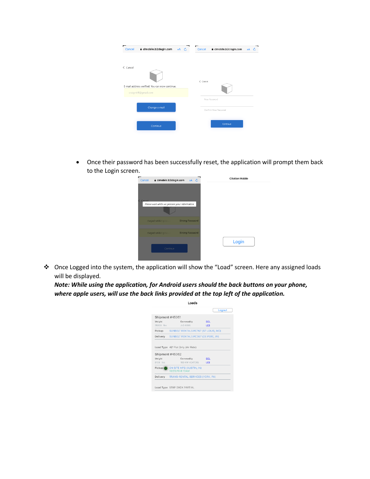| a cimobile.b2clogin.com<br>AÅ<br>$\mathcal{C}_{\ell}$<br>Cancel        | a cimobile.b2clogin.com<br>Cancel<br>AA |
|------------------------------------------------------------------------|-----------------------------------------|
| $\zeta$ Cancel                                                         | $\leq$ Cancel                           |
| E-mail address verified. You can now continue.<br>craigntiff@gmail.com |                                         |
| Change e-mail                                                          | New Password                            |
|                                                                        | Confirm New Password                    |
| Continue                                                               | Continue                                |

• Once their password has been successfully reset, the application will prompt them back to the Login screen.



❖ Once Logged into the system, the application will show the "Load" screen. Here any assigned loads will be displayed.

*Note: While using the application, for Android users should the back buttons on your phone, where apple users, will use the back links provided at the top left of the application.*

|                 | Loads                                        |            |        |
|-----------------|----------------------------------------------|------------|--------|
|                 |                                              |            | Logout |
| Shipment #45051 |                                              |            |        |
| Weight          | Commodity                                    | <b>BOL</b> |        |
| 25000 lbs.      | <b>JLG 600S</b>                              | LCS        |        |
|                 | Pickup SUNBELT RENTALS PC767 (ST LOUIS, MO)  |            |        |
|                 | Delivery SUNBELT RENTALS PC367 (DE PERE, WI) |            |        |
|                 |                                              |            |        |
|                 | Load Type 48' Flat Only (Air Ride)           |            |        |
|                 | Shipment #45052                              |            |        |
| Weight          | Commodity                                    | <b>BOL</b> |        |
| 8100 lbs.       | 150 KW HEATERS LCS                           |            |        |
|                 | Pickup C ON SITE MFG (AUSTIN, IN)            |            |        |
|                 | 10/25/19 8:13AM                              |            |        |
|                 | Delivery TRANS-RENTAL SERVICES (YORK, PA)    |            |        |
|                 |                                              |            |        |
|                 | Load Type STEP DECK PARTIAL                  |            |        |
|                 |                                              |            |        |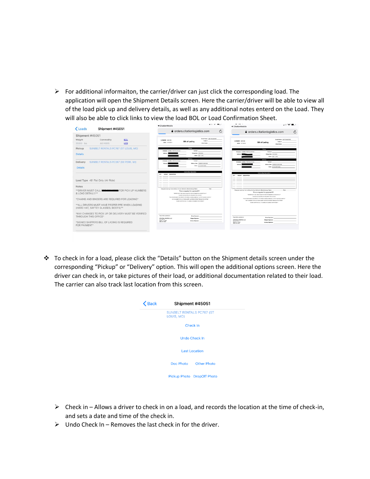$\triangleright$  For additional informaiton, the carrier/driver can just click the corresponding load. The application will open the Shipment Details screen. Here the carrier/driver will be able to view all of the load pick up and delivery details, as well as any additional notes enterd on the Load. They will also be able to click links to view the load BOL or Load Confirmation Sheet.

|                          |                                               |                                                             | ◀ CitationMobile                                                                         |                                                                                                                                  | . | ◀ CitationMobile                                                                          | $\cdots$                                                                                                                                                                                                             |
|--------------------------|-----------------------------------------------|-------------------------------------------------------------|------------------------------------------------------------------------------------------|----------------------------------------------------------------------------------------------------------------------------------|---|-------------------------------------------------------------------------------------------|----------------------------------------------------------------------------------------------------------------------------------------------------------------------------------------------------------------------|
| Loads<br>Shipment #45051 |                                               | Ò<br><b>△</b> orders.citationlogistics.com                  |                                                                                          | Ċ<br><b>■</b> orders.citationlogistics.com                                                                                       |   |                                                                                           |                                                                                                                                                                                                                      |
| Shipment #45051          |                                               |                                                             |                                                                                          |                                                                                                                                  |   |                                                                                           |                                                                                                                                                                                                                      |
| Weight<br>25000 lbs.     | Commodity<br><b>JLG 600S</b>                  | <b>BOL</b><br><b>LCS</b>                                    | LOAD#: 30100<br>DATE: 10160015                                                           | Currier Name: KNP TRAVEPORT<br>Trailer A:<br><b>Bill of Lading</b><br><b>Driver Name:</b>                                        |   | <b>LOAD#: 30100</b><br>DATE: 19702015                                                     | Currier Name: JOIP TRAVERORT<br><b>Trailer A</b><br><b>Bill of Lading</b><br><b>Driver Name:</b>                                                                                                                     |
| Pickup                   | SUNBELT RENTALS PC767 (ST LOUIS, MO)          |                                                             | Company: SUNBELT RENTALS PCTOT                                                           | Pickup<br>Contact:                                                                                                               |   |                                                                                           | Plotter                                                                                                                                                                                                              |
| <b>Details</b>           |                                               |                                                             |                                                                                          | <b>Pickup Ente 1019/2015</b><br>Notes: 6HA-3 PM                                                                                  |   | Company: SUNDELT RENTALS PCTET                                                            | Contact:<br>Pickup Date 10/15/2015<br>Notes: 6AM - 37M                                                                                                                                                               |
|                          |                                               |                                                             | Company: SUNBELT RENTALS PC367                                                           | <b>Delivery</b><br>Contact:                                                                                                      |   | Company: GUNDELT RENTALS PCD61                                                            | <b>Certificants</b><br>Contact:                                                                                                                                                                                      |
| Delivery                 | SUNBELT RENTALS PC367 (DE PERE, WI)           |                                                             | Address                                                                                  | Delivery Date: 10/20/2015 09:00 AM<br>Notes: NO EXCEPTIONS                                                                       |   |                                                                                           | Delivery Date: 10/20/2015 09:00 AM                                                                                                                                                                                   |
| <b>Details</b>           |                                               |                                                             |                                                                                          |                                                                                                                                  |   |                                                                                           | <b>Notes: NO EXCEPTIONS</b>                                                                                                                                                                                          |
|                          |                                               |                                                             | OTY WEIGHT DESCRIPTION                                                                   | Commodity Description                                                                                                            |   |                                                                                           | Commodity Description                                                                                                                                                                                                |
|                          |                                               |                                                             |                                                                                          |                                                                                                                                  |   | <b>WEIGHT DESCRIPTION</b><br>ory.                                                         |                                                                                                                                                                                                                      |
|                          | Load Type. 48' Flat Only (Air Ride)           |                                                             |                                                                                          |                                                                                                                                  |   |                                                                                           |                                                                                                                                                                                                                      |
| Notes                    |                                               |                                                             |                                                                                          |                                                                                                                                  |   |                                                                                           |                                                                                                                                                                                                                      |
|                          |                                               |                                                             |                                                                                          | Opsignee must sign here verifying the load delivered without damage Name.<br>Date                                                |   |                                                                                           |                                                                                                                                                                                                                      |
| & LOAD DETAIL !!!**      |                                               | ** DRIVER MUST CALL <b>105-0-4-0000</b> FOR PICK UP NUMBERS |                                                                                          | This is required for payment!!!!<br>"CONVERSION CALL MILATURES FOR FICKLUP NAMED IN A LOND OF TALL W"                            |   | Cosignee must eign here verifying the load definered without damage Name.                 | Date<br>This is required for payment !!!                                                                                                                                                                             |
|                          |                                               |                                                             |                                                                                          | CHANG FIRE SINGERS ARE REQUIRED FOR LOADING<br>THIS ENVIRONMENT MAKE PROPER PRE WHEN JACKED HARD HAT JAPTEY GLASSES, ROOTER      |   |                                                                                           | "DRIVER MUST CALL Bell-ero (CS) FOR PIDCUP NUMERIES LOAD OF TALIT"<br>TAMPELAND GOODERS ARE GEOLOGICO COR LOADING                                                                                                    |
|                          | *CHAINS AND BINDERS ARE REQUIRED FOR LOADING* |                                                             |                                                                                          | ANY CHANGES TO PICK UP OR DELINERY MUST BE VERIFIED THROUGH THIS OFFICE<br>SIGNED SHEREDS ON A CELARAGE IS DESIGNED FOR PHYSICIT |   |                                                                                           | "ALL DRIVERS MUST HAVE PROFITS FRE WHEN LOADING AWARD HAT EATTEY OLASSES, ROOTEY<br>WWW. CHANGES TO PICKUP OR DELIVERY WUST BE VERFEED THROUGH THIS OFFICE<br>"SGNED SHIPPERS BILL OF LADING IS REQUIRED FOR PAYMENT |
|                          | (HARD HAT, SAFTEY GLASSES, BOOTS)**           | ** ALL DRIVERS MUST HAVE PROPER PPE WHEN LOADING            |                                                                                          |                                                                                                                                  |   |                                                                                           |                                                                                                                                                                                                                      |
| THROUGH THIS OFFICE*     |                                               | "ANY CHANGES TO PICK UP OR DELIVERY MUST BE VERIFIED.       | Freightbills submitted for                                                               | Driver Signature:                                                                                                                |   | Freight bills submitted by                                                                |                                                                                                                                                                                                                      |
| FOR PAYMENT*             | *SIGNED SHIPPERS BILL OF LADING IS REQUIRED   |                                                             | CITATION LOGISTICS, LLC<br>P.O. Box 79<br><b>GROOM LA HORSE</b><br><b>MAIL: 641-8211</b> | <b>Shipper Signature:</b><br>Delivery Signature:                                                                                 |   | <b>CITATION LOGISTICS, LLC</b><br>P.O. Box 70<br><b>Skiel, LA 70459</b><br>(495) 641-8233 | <b>Driver Signature:</b><br><b>Shipper Bigrahum</b><br><b>Delivery Stensburg</b>                                                                                                                                     |
|                          |                                               |                                                             |                                                                                          |                                                                                                                                  |   |                                                                                           |                                                                                                                                                                                                                      |

❖ To check in for a load, please click the "Details" button on the Shipment details screen under the corresponding "Pickup" or "Delivery" option. This will open the additional options screen. Here the driver can check in, or take pictures of their load, or additional documentation related to their load. The carrier can also track last location from this screen.

| $\zeta$ Back | Shipment #45051                                |  |  |  |  |
|--------------|------------------------------------------------|--|--|--|--|
|              | <b>SUNBELT RENTALS PC767 (ST</b><br>LOUIS, MO) |  |  |  |  |
|              | Check In<br><b>Undo Check In</b>               |  |  |  |  |
|              |                                                |  |  |  |  |
|              | <b>Last Location</b>                           |  |  |  |  |
|              | Other Photo<br>Doc Photo                       |  |  |  |  |
|              | Pickup Photo DropOff Photo                     |  |  |  |  |

- $\triangleright$  Check in Allows a driver to check in on a load, and records the location at the time of check-in, and sets a date and time of the check in.
- $\triangleright$  Undo Check In Removes the last check in for the driver.